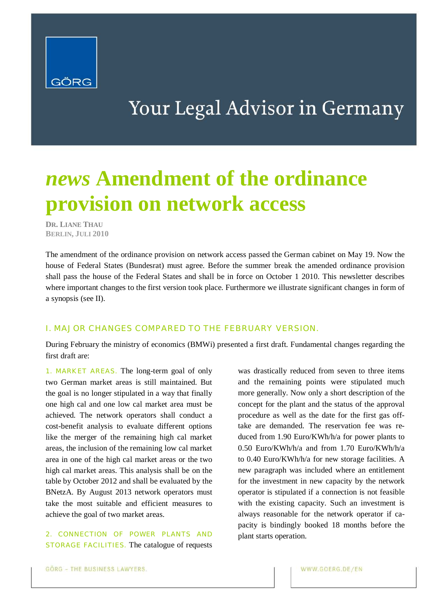

# Your Legal Advisor in Germany

# *news* **Amendment of the ordinance provision on network access**

**DR. LIANE THAU BERLIN, JULI 2010**

The amendment of the ordinance provision on network access passed the German cabinet on May 19. Now the house of Federal States (Bundesrat) must agree. Before the summer break the amended ordinance provision shall pass the house of the Federal States and shall be in force on October 1 2010. This newsletter describes where important changes to the first version took place. Furthermore we illustrate significant changes in form of a synopsis (see II).

### I. MAJOR CHANGES COMPARED TO THE FEBRUARY VERSION.

During February the ministry of economics (BMWi) presented a first draft. Fundamental changes regarding the first draft are:

1. MARKET AREAS. The long-term goal of only two German market areas is still maintained. But the goal is no longer stipulated in a way that finally one high cal and one low cal market area must be achieved. The network operators shall conduct a cost-benefit analysis to evaluate different options like the merger of the remaining high cal market areas, the inclusion of the remaining low cal market area in one of the high cal market areas or the two high cal market areas. This analysis shall be on the table by October 2012 and shall be evaluated by the BNetzA. By August 2013 network operators must take the most suitable and efficient measures to achieve the goal of two market areas.

2. CONNECTION OF POWER PLANTS AND STORAGE FACILITIES. The catalogue of requests was drastically reduced from seven to three items and the remaining points were stipulated much more generally. Now only a short description of the concept for the plant and the status of the approval procedure as well as the date for the first gas offtake are demanded. The reservation fee was reduced from 1.90 Euro/KWh/h/a for power plants to 0.50 Euro/KWh/h/a and from 1.70 Euro/KWh/h/a to 0.40 Euro/KWh/h/a for new storage facilities. A new paragraph was included where an entitlement for the investment in new capacity by the network operator is stipulated if a connection is not feasible with the existing capacity. Such an investment is always reasonable for the network operator if capacity is bindingly booked 18 months before the plant starts operation.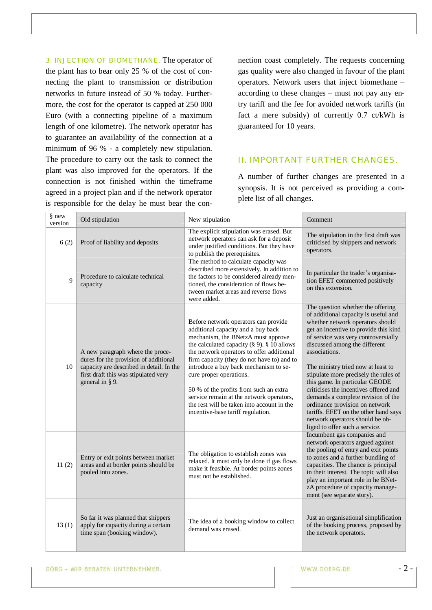3. INJECTION OF BIOMETHANE. The operator of the plant has to bear only 25 % of the cost of connecting the plant to transmission or distribution networks in future instead of 50 % today. Furthermore, the cost for the operator is capped at 250 000 Euro (with a connecting pipeline of a maximum length of one kilometre). The network operator has to guarantee an availability of the connection at a minimum of 96 % - a completely new stipulation. The procedure to carry out the task to connect the plant was also improved for the operators. If the connection is not finished within the timeframe agreed in a project plan and if the network operator is responsible for the delay he must bear the connection coast completely. The requests concerning gas quality were also changed in favour of the plant operators. Network users that inject biomethane – according to these changes – must not pay any entry tariff and the fee for avoided network tariffs (in fact a mere subsidy) of currently 0.7 ct/kWh is guaranteed for 10 years.

#### II. IMPORTANT FURTHER CHANGES.

A number of further changes are presented in a synopsis. It is not perceived as providing a complete list of all changes.

| § new<br>version | Old stipulation                                                                                                                                                                  | New stipulation                                                                                                                                                                                                                                                                                                                                                                                                                                                                                               | Comment                                                                                                                                                                                                                                                                                                                                                                                                                                                                                                                                                                                        |
|------------------|----------------------------------------------------------------------------------------------------------------------------------------------------------------------------------|---------------------------------------------------------------------------------------------------------------------------------------------------------------------------------------------------------------------------------------------------------------------------------------------------------------------------------------------------------------------------------------------------------------------------------------------------------------------------------------------------------------|------------------------------------------------------------------------------------------------------------------------------------------------------------------------------------------------------------------------------------------------------------------------------------------------------------------------------------------------------------------------------------------------------------------------------------------------------------------------------------------------------------------------------------------------------------------------------------------------|
| 6(2)             | Proof of liability and deposits                                                                                                                                                  | The explicit stipulation was erased. But<br>network operators can ask for a deposit<br>under justified conditions. But they have<br>to publish the prerequisites.                                                                                                                                                                                                                                                                                                                                             | The stipulation in the first draft was<br>criticised by shippers and network<br>operators.                                                                                                                                                                                                                                                                                                                                                                                                                                                                                                     |
| $\mathbf{Q}$     | Procedure to calculate technical<br>capacity                                                                                                                                     | The method to calculate capacity was<br>described more extensively. In addition to<br>the factors to be considered already men-<br>tioned, the consideration of flows be-<br>tween market areas and reverse flows<br>were added.                                                                                                                                                                                                                                                                              | In particular the trader's organisa-<br>tion EFET commented positively<br>on this extension.                                                                                                                                                                                                                                                                                                                                                                                                                                                                                                   |
| 10               | A new paragraph where the proce-<br>dures for the provision of additional<br>capacity are described in detail. In the<br>first draft this was stipulated very<br>general in § 9. | Before network operators can provide<br>additional capacity and a buy back<br>mechanism, the BNetzA must approve<br>the calculated capacity ( $\S$ 9). $\S$ 10 allows<br>the network operators to offer additional<br>firm capacity (they do not have to) and to<br>introduce a buy back mechanism to se-<br>cure proper operations.<br>50 % of the profits from such an extra<br>service remain at the network operators,<br>the rest will be taken into account in the<br>incentive-base tariff regulation. | The question whether the offering<br>of additional capacity is useful and<br>whether network operators should<br>get an incentive to provide this kind<br>of service was very controversially<br>discussed among the different<br>associations.<br>The ministry tried now at least to<br>stipulate more precisely the rules of<br>this game. In particular GEODE<br>criticises the incentives offered and<br>demands a complete revision of the<br>ordinance provision on network<br>tariffs. EFET on the other hand says<br>network operators should be ob-<br>liged to offer such a service. |
| 11(2)            | Entry or exit points between market<br>areas and at border points should be<br>pooled into zones.                                                                                | The obligation to establish zones was<br>relaxed. It must only be done if gas flows<br>make it feasible. At border points zones<br>must not be established.                                                                                                                                                                                                                                                                                                                                                   | Incumbent gas companies and<br>network operators argued against<br>the pooling of entry and exit points<br>to zones and a further bundling of<br>capacities. The chance is principal<br>in their interest. The topic will also<br>play an important role in he BNet-<br>zA procedure of capacity manage-<br>ment (see separate story).                                                                                                                                                                                                                                                         |
| 13(1)            | So far it was planned that shippers<br>apply for capacity during a certain<br>time span (booking window).                                                                        | The idea of a booking window to collect<br>demand was erased.                                                                                                                                                                                                                                                                                                                                                                                                                                                 | Just an organisational simplification<br>of the booking process, proposed by<br>the network operators.                                                                                                                                                                                                                                                                                                                                                                                                                                                                                         |

GÖRG - WIR BERATEN UNTERNEHMER.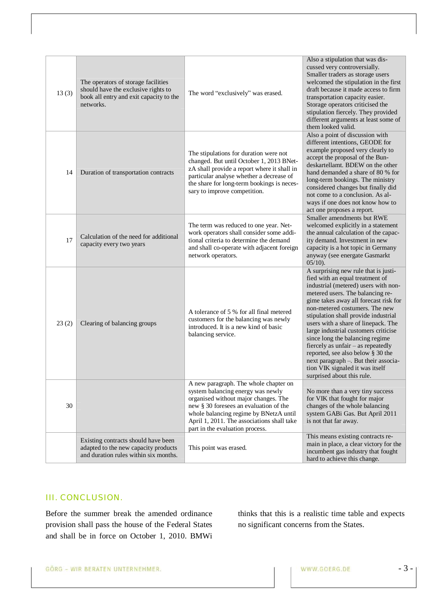| 13(3) | The operators of storage facilities<br>should have the exclusive rights to<br>book all entry and exit capacity to the<br>networks. | The word "exclusively" was erased.                                                                                                                                                                                                                                                      | Also a stipulation that was dis-<br>cussed very controversially.<br>Smaller traders as storage users<br>welcomed the stipulation in the first<br>draft because it made access to firm<br>transportation capacity easier.<br>Storage operators criticised the<br>stipulation fiercely. They provided<br>different arguments at least some of<br>them looked valid.                                                                                                                                                                                                            |
|-------|------------------------------------------------------------------------------------------------------------------------------------|-----------------------------------------------------------------------------------------------------------------------------------------------------------------------------------------------------------------------------------------------------------------------------------------|------------------------------------------------------------------------------------------------------------------------------------------------------------------------------------------------------------------------------------------------------------------------------------------------------------------------------------------------------------------------------------------------------------------------------------------------------------------------------------------------------------------------------------------------------------------------------|
| 14    | Duration of transportation contracts                                                                                               | The stipulations for duration were not<br>changed. But until October 1, 2013 BNet-<br>zA shall provide a report where it shall in<br>particular analyse whether a decrease of<br>the share for long-term bookings is neces-<br>sary to improve competition.                             | Also a point of discussion with<br>different intentions, GEODE for<br>example proposed very clearly to<br>accept the proposal of the Bun-<br>deskartellamt. BDEW on the other<br>hand demanded a share of 80 % for<br>long-term bookings. The ministry<br>considered changes but finally did<br>not come to a conclusion. As al-<br>ways if one does not know how to<br>act one proposes a report.                                                                                                                                                                           |
| 17    | Calculation of the need for additional<br>capacity every two years                                                                 | The term was reduced to one year. Net-<br>work operators shall consider some addi-<br>tional criteria to determine the demand<br>and shall co-operate with adjacent foreign<br>network operators.                                                                                       | Smaller amendments but RWE<br>welcomed explicitly in a statement<br>the annual calculation of the capac-<br>ity demand. Investment in new<br>capacity is a hot topic in Germany<br>anyway (see energate Gasmarkt<br>$05/10$ ).                                                                                                                                                                                                                                                                                                                                               |
| 23(2) | Clearing of balancing groups                                                                                                       | A tolerance of 5 % for all final metered<br>customers for the balancing was newly<br>introduced. It is a new kind of basic<br>balancing service.                                                                                                                                        | A surprising new rule that is justi-<br>fied with an equal treatment of<br>industrial (metered) users with non-<br>metered users. The balancing re-<br>gime takes away all forecast risk for<br>non-metered costumers. The new<br>stipulation shall provide industrial<br>users with a share of linepack. The<br>large industrial customers criticise<br>since long the balancing regime<br>fiercely as unfair - as repeatedly<br>reported, see also below § 30 the<br>next paragraph -. But their associa-<br>tion VIK signaled it was itself<br>surprised about this rule. |
| 30    |                                                                                                                                    | A new paragraph. The whole chapter on<br>system balancing energy was newly<br>organised without major changes. The<br>new § 30 foresees an evaluation of the<br>whole balancing regime by BNetzA until<br>April 1, 2011. The associations shall take<br>part in the evaluation process. | No more than a very tiny success<br>for VIK that fought for major<br>changes of the whole balancing<br>system GABi Gas. But April 2011<br>is not that far away.                                                                                                                                                                                                                                                                                                                                                                                                              |
|       | Existing contracts should have been<br>adapted to the new capacity products<br>and duration rules within six months.               | This point was erased.                                                                                                                                                                                                                                                                  | This means existing contracts re-<br>main in place, a clear victory for the<br>incumbent gas industry that fought<br>hard to achieve this change.                                                                                                                                                                                                                                                                                                                                                                                                                            |

# III. CONCLUSION.

Before the summer break the amended ordinance provision shall pass the house of the Federal States and shall be in force on October 1, 2010. BMWi thinks that this is a realistic time table and expects no significant concerns from the States.